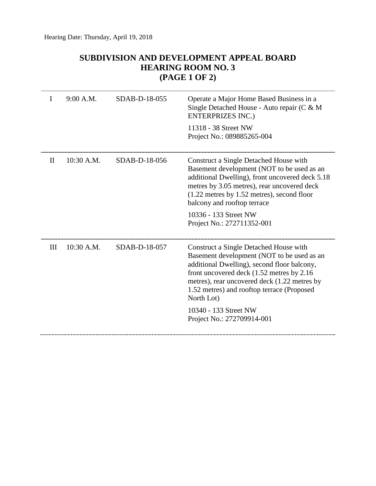## **SUBDIVISION AND DEVELOPMENT APPEAL BOARD HEARING ROOM NO. 3 (PAGE 1 OF 2)**

| I        | 9:00 A.M.    | SDAB-D-18-055 | Operate a Major Home Based Business in a<br>Single Detached House - Auto repair (C & M<br><b>ENTERPRIZES INC.)</b><br>11318 - 38 Street NW<br>Project No.: 089885265-004                                                                                                                       |
|----------|--------------|---------------|------------------------------------------------------------------------------------------------------------------------------------------------------------------------------------------------------------------------------------------------------------------------------------------------|
| $\rm II$ | $10:30$ A.M. | SDAB-D-18-056 | Construct a Single Detached House with<br>Basement development (NOT to be used as an<br>additional Dwelling), front uncovered deck 5.18<br>metres by 3.05 metres), rear uncovered deck<br>$(1.22$ metres by 1.52 metres), second floor<br>balcony and rooftop terrace<br>10336 - 133 Street NW |
|          |              |               | Project No.: 272711352-001                                                                                                                                                                                                                                                                     |
| III      | $10:30$ A.M. | SDAB-D-18-057 | Construct a Single Detached House with<br>Basement development (NOT to be used as an<br>additional Dwelling), second floor balcony,<br>front uncovered deck (1.52 metres by 2.16<br>metres), rear uncovered deck (1.22 metres by<br>1.52 metres) and rooftop terrace (Proposed<br>North Lot)   |
|          |              |               | 10340 - 133 Street NW<br>Project No.: 272709914-001                                                                                                                                                                                                                                            |